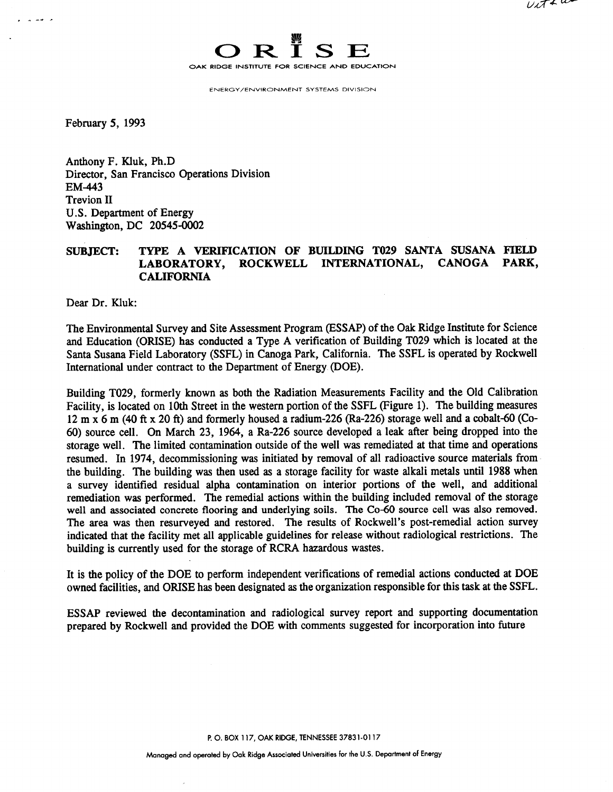

**ENERGY/ENVIRONMENT SYSTEMS DIVISION** 

February 5, 1993

م سمال

Anthony F. Kluk, Ph.D Director, San Francisco Operations Division EM-443 Trevion I1 U.S. Department of Energy Washington, DC 20545-0002

## **SUBJECT: TYPE A VERIFICATION OF BUILDING TO29 SANTA SUSANA FIELD LABORATORY, ROCKWELL INTERNATIONAL, CANOGA PARK, CALIFORNIA**

Dear Dr. Kluk:

The Environmental Survey and Site Assessment Program (ESSAP) of the Oak Ridge Institute for Science and Education (ORISE) has conducted a Type A verification of Building TO29 which is located at the Santa Susana Field Laboratory (SSFL) in Canoga Park, California. The SSFL is operated by Rockwell International under contract to the Department of Energy (DOE).

Building T029, formerly known as both the Radiation Measurements Facility and the Old Calibration Facility, is located on 10th Street in the western portion of the SSFL (Figure 1). The building measures  $12 \text{ m } x$  6 m (40 ft x 20 ft) and formerly housed a radium-226 (Ra-226) storage well and a cobalt-60 (Co-60) source cell. On March 23, 1964, a Ra-226 source developed a leak after being dropped into the storage well. The limited contamination outside of the well was remediated at that time and operations resumed. In 1974, decommissioning was initiated by removal of all radioactive source materials from the building. The building was then used as a storage facility for waste alkali metals until 1988 when a survey identified residual alpha contamination on interior portions of the well, and additional remediation was performed. The remedial actions within the building included removal of the storage well and associated concrete flooring and underlying soils. The Co-60 source cell was also removed. The area was then resurveyed and restored. The results of Rockwell's post-remedial action survey indicated that the facility met all applicable guidelines for release without radiological restrictions. The building is currently used for the storage of RCRA hazardous wastes.

It is the policy of the DOE to perform independent verifications of remedial actions conducted at DOE owned facilities, and ORISE has been designated as the organization responsible for this task at the SSFL.

ESSAP reviewed the decontamination and radiological survey report and supporting documentation prepared by Rockwell and provided the DOE with comments suggested for incorporation into future

**P. 0. BOX 1 17, OAK RIDGE, TENNESSEE 3783 1-01 17**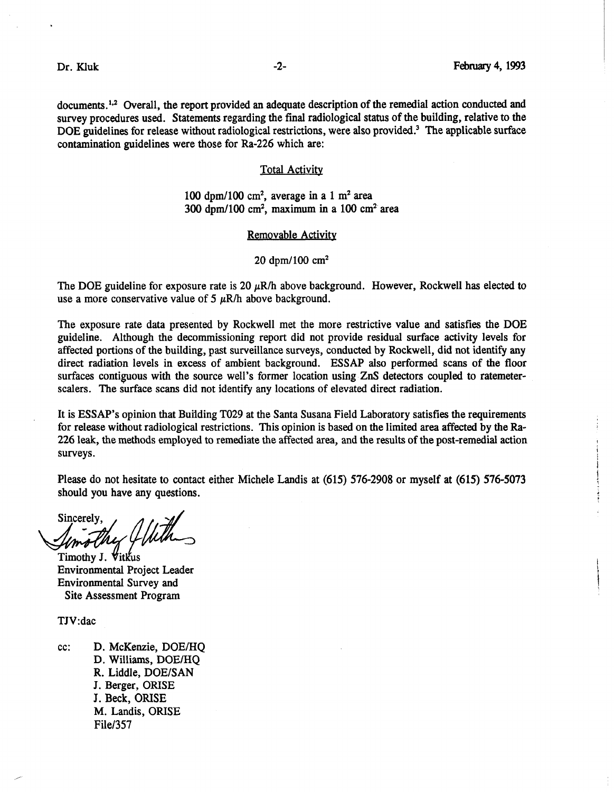documents.<sup>1,2</sup> Overall, the report provided an adequate description of the remedial action conducted and survey procedures used. Statements regarding the final radiological status of the building, relative to the DOE guidelines for release without radiological restrictions, were also provided.<sup>3</sup> The applicable surface contamination guidelines were those for Ra-226 which are:

### **Total Activity**

### 100 dpm/100  $\text{cm}^2$ , average in a 1 m<sup>2</sup> area 300 dpm/100 cm<sup>2</sup>, maximum in a 100 cm<sup>2</sup> area

### Removable Activity

20 dpm/100  $cm<sup>2</sup>$ 

The DOE guideline for exposure rate is 20  $\mu$ R/h above background. However, Rockwell has elected to use a more conservative value of  $5 \mu R/h$  above background.

The exposure rate data presented by Rockwell met the more restrictive value and satisfies the DOE guideline. Although the decommissioning report did not provide residual surface activity levels for affected portions of the building, past surveillance surveys, conducted by Rockwell, did not identify any direct radiation levels in excess of ambient background. ESSAP also performed scans of the floor surfaces contiguous with the source well's former location using ZnS detectors coupled to ratemeterscalers. The surface scans did not identify any locations of elevated direct radiation.

It is ESSAP's opinion that Building TO29 at the Santa Susana Field Laboratory satisfies the requirements for release without radiological restrictions. This opinion is based on the limited area affected by the Ra-226 leak, the methods employed to remediate the affected area, and the results of the post-remedial action surveys.

Please do not hesitate to contact either Michele Landis at (615) 576-2908 or myself at (615) 576-5073 should you have any questions.

**Sincerely** 

Timothy J. Vitkus Environmental Project Leader Environmental Survey and Site Assessment Program

TJV:dac

cc: D. McKenzie, DOE/HO D. Williams, DOE/HQ R. Liddle, DOE/SAN J. Berger, ORISE J. **Beck, ORISE**  M. Landis, ORISE File/357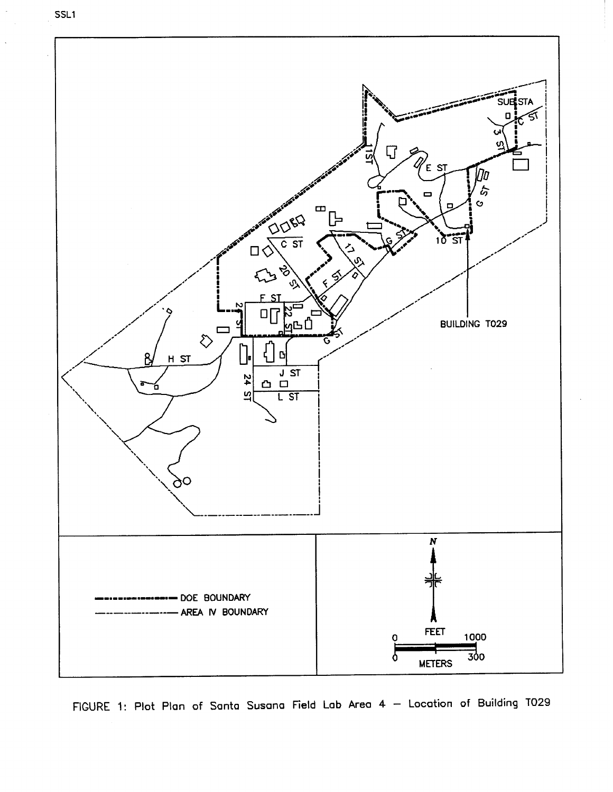



**FIGURE 1: Plot Plan of Santa Susana Field Lab Area 4** - **Location of Building TO29**